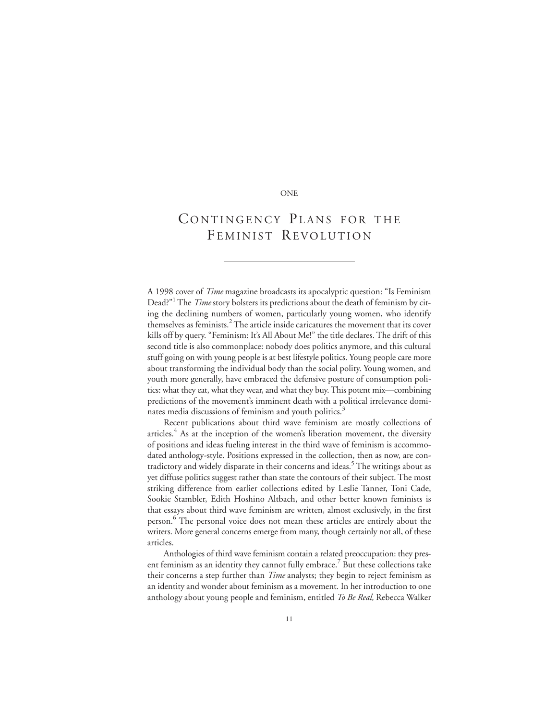#### ONE

# CONTINGENCY PLANS FOR THE FEMINIST REVOLUTION

A 1998 cover of *Time* magazine broadcasts its apocalyptic question: "Is Feminism Dead?"<sup>1</sup> The *Time* story bolsters its predictions about the death of feminism by citing the declining numbers of women, particularly young women, who identify themselves as feminists.<sup>2</sup> The article inside caricatures the movement that its cover kills off by query. "Feminism: It's All About Me!" the title declares. The drift of this second title is also commonplace: nobody does politics anymore, and this cultural stuff going on with young people is at best lifestyle politics. Young people care more about transforming the individual body than the social polity. Young women, and youth more generally, have embraced the defensive posture of consumption politics: what they eat, what they wear, and what they buy. This potent mix—combining predictions of the movement's imminent death with a political irrelevance dominates media discussions of feminism and youth politics.<sup>3</sup>

Recent publications about third wave feminism are mostly collections of articles. $4$  As at the inception of the women's liberation movement, the diversity of positions and ideas fueling interest in the third wave of feminism is accommodated anthology-style. Positions expressed in the collection, then as now, are contradictory and widely disparate in their concerns and ideas.<sup>5</sup> The writings about as yet diffuse politics suggest rather than state the contours of their subject. The most striking difference from earlier collections edited by Leslie Tanner, Toni Cade, Sookie Stambler, Edith Hoshino Altbach, and other better known feminists is that essays about third wave feminism are written, almost exclusively, in the first person.<sup>6</sup> The personal voice does not mean these articles are entirely about the writers. More general concerns emerge from many, though certainly not all, of these articles.

Anthologies of third wave feminism contain a related preoccupation: they present feminism as an identity they cannot fully embrace.<sup>7</sup> But these collections take their concerns a step further than *Time* analysts; they begin to reject feminism as an identity and wonder about feminism as a movement. In her introduction to one anthology about young people and feminism, entitled *To Be Real,* Rebecca Walker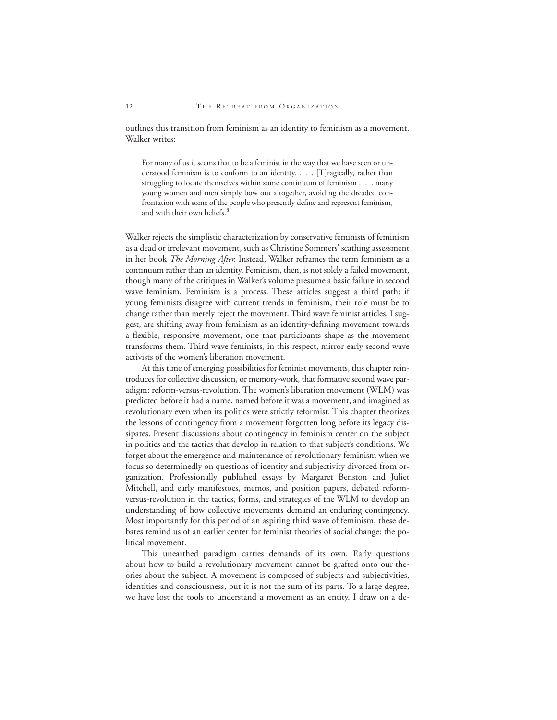outlines this transition from feminism as an identity to feminism as a movement. Walker writes:

For many of us it seems that to be a feminist in the way that we have seen or understood feminism is to conform to an identity. . . . [T]ragically, rather than struggling to locate themselves within some continuum of feminism . . . many young women and men simply bow out altogether, avoiding the dreaded confrontation with some of the people who presently define and represent feminism, and with their own beliefs.<sup>8</sup>

Walker rejects the simplistic characterization by conservative feminists of feminism as a dead or irrelevant movement, such as Christine Sommers' scathing assessment in her book *The Morning After.* Instead, Walker reframes the term feminism as a continuum rather than an identity. Feminism, then, is not solely a failed movement, though many of the critiques in Walker's volume presume a basic failure in second wave feminism. Feminism is a process. These articles suggest a third path: if young feminists disagree with current trends in feminism, their role must be to change rather than merely reject the movement. Third wave feminist articles, I suggest, are shifting away from feminism as an identity-defining movement towards a flexible, responsive movement, one that participants shape as the movement transforms them. Third wave feminists, in this respect, mirror early second wave activists of the women's liberation movement.

At this time of emerging possibilities for feminist movements, this chapter reintroduces for collective discussion, or memory-work, that formative second wave paradigm: reform-versus-revolution. The women's liberation movement (WLM) was predicted before it had a name, named before it was a movement, and imagined as revolutionary even when its politics were strictly reformist. This chapter theorizes the lessons of contingency from a movement forgotten long before its legacy dissipates. Present discussions about contingency in feminism center on the subject in politics and the tactics that develop in relation to that subject's conditions. We forget about the emergence and maintenance of revolutionary feminism when we focus so determinedly on questions of identity and subjectivity divorced from organization. Professionally published essays by Margaret Benston and Juliet Mitchell, and early manifestoes, memos, and position papers, debated reformversus-revolution in the tactics, forms, and strategies of the WLM to develop an understanding of how collective movements demand an enduring contingency. Most importantly for this period of an aspiring third wave of feminism, these debates remind us of an earlier center for feminist theories of social change: the political movement.

This unearthed paradigm carries demands of its own. Early questions about how to build a revolutionary movement cannot be grafted onto our theories about the subject. A movement is composed of subjects and subjectivities, identities and consciousness, but it is not the sum of its parts. To a large degree, we have lost the tools to understand a movement as an entity. I draw on a de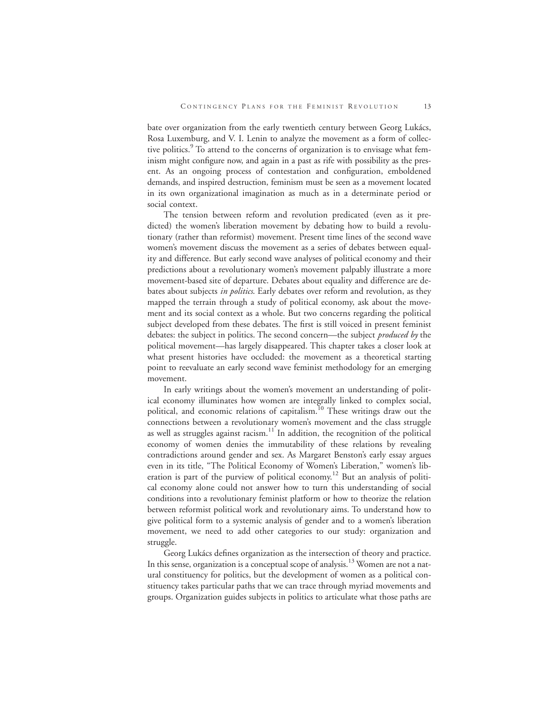bate over organization from the early twentieth century between Georg Lukács, Rosa Luxemburg, and V. I. Lenin to analyze the movement as a form of collective politics. $\degree$  To attend to the concerns of organization is to envisage what feminism might configure now, and again in a past as rife with possibility as the present. As an ongoing process of contestation and configuration, emboldened demands, and inspired destruction, feminism must be seen as a movement located in its own organizational imagination as much as in a determinate period or social context.

The tension between reform and revolution predicated (even as it predicted) the women's liberation movement by debating how to build a revolutionary (rather than reformist) movement. Present time lines of the second wave women's movement discuss the movement as a series of debates between equality and difference. But early second wave analyses of political economy and their predictions about a revolutionary women's movement palpably illustrate a more movement-based site of departure. Debates about equality and difference are debates about subjects *in politics*. Early debates over reform and revolution, as they mapped the terrain through a study of political economy, ask about the movement and its social context as a whole. But two concerns regarding the political subject developed from these debates. The first is still voiced in present feminist debates: the subject in politics. The second concern—the subject *produced by* the political movement—has largely disappeared. This chapter takes a closer look at what present histories have occluded: the movement as a theoretical starting point to reevaluate an early second wave feminist methodology for an emerging movement.

In early writings about the women's movement an understanding of political economy illuminates how women are integrally linked to complex social, political, and economic relations of capitalism.10 These writings draw out the connections between a revolutionary women's movement and the class struggle as well as struggles against racism.<sup>11</sup> In addition, the recognition of the political economy of women denies the immutability of these relations by revealing contradictions around gender and sex. As Margaret Benston's early essay argues even in its title, "The Political Economy of Women's Liberation," women's liberation is part of the purview of political economy.<sup>12</sup> But an analysis of political economy alone could not answer how to turn this understanding of social conditions into a revolutionary feminist platform or how to theorize the relation between reformist political work and revolutionary aims. To understand how to give political form to a systemic analysis of gender and to a women's liberation movement, we need to add other categories to our study: organization and struggle.

Georg Lukács defines organization as the intersection of theory and practice. In this sense, organization is a conceptual scope of analysis.<sup>13</sup> Women are not a natural constituency for politics, but the development of women as a political constituency takes particular paths that we can trace through myriad movements and groups. Organization guides subjects in politics to articulate what those paths are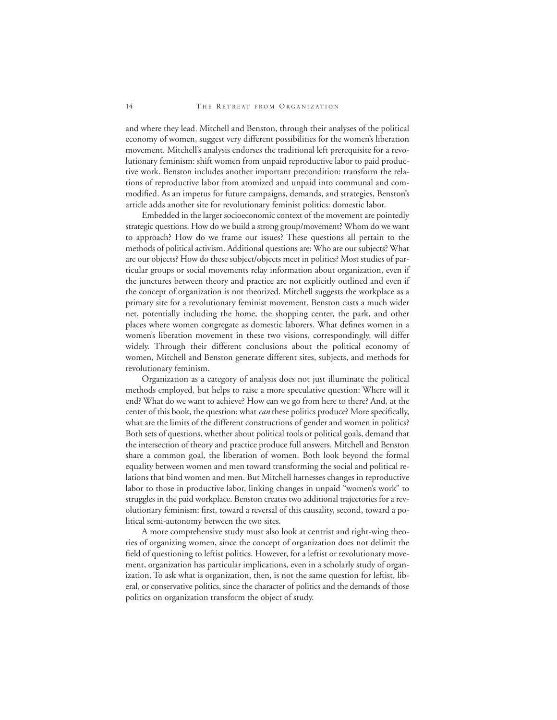and where they lead*.* Mitchell and Benston, through their analyses of the political economy of women, suggest very different possibilities for the women's liberation movement. Mitchell's analysis endorses the traditional left prerequisite for a revolutionary feminism: shift women from unpaid reproductive labor to paid productive work. Benston includes another important precondition: transform the relations of reproductive labor from atomized and unpaid into communal and commodified. As an impetus for future campaigns, demands, and strategies, Benston's article adds another site for revolutionary feminist politics: domestic labor.

Embedded in the larger socioeconomic context of the movement are pointedly strategic questions. How do we build a strong group/movement? Whom do we want to approach? How do we frame our issues? These questions all pertain to the methods of political activism. Additional questions are: Who are our subjects? What are our objects? How do these subject/objects meet in politics? Most studies of particular groups or social movements relay information about organization, even if the junctures between theory and practice are not explicitly outlined and even if the concept of organization is not theorized. Mitchell suggests the workplace as a primary site for a revolutionary feminist movement. Benston casts a much wider net, potentially including the home, the shopping center, the park, and other places where women congregate as domestic laborers. What defines women in a women's liberation movement in these two visions, correspondingly, will differ widely. Through their different conclusions about the political economy of women, Mitchell and Benston generate different sites, subjects, and methods for revolutionary feminism.

Organization as a category of analysis does not just illuminate the political methods employed, but helps to raise a more speculative question: Where will it end? What do we want to achieve? How can we go from here to there? And, at the center of this book, the question: what *can* these politics produce? More specifically, what are the limits of the different constructions of gender and women in politics? Both sets of questions, whether about political tools or political goals, demand that the intersection of theory and practice produce full answers. Mitchell and Benston share a common goal, the liberation of women. Both look beyond the formal equality between women and men toward transforming the social and political relations that bind women and men. But Mitchell harnesses changes in reproductive labor to those in productive labor, linking changes in unpaid "women's work" to struggles in the paid workplace. Benston creates two additional trajectories for a revolutionary feminism: first, toward a reversal of this causality, second, toward a political semi-autonomy between the two sites.

A more comprehensive study must also look at centrist and right-wing theories of organizing women, since the concept of organization does not delimit the field of questioning to leftist politics. However, for a leftist or revolutionary movement, organization has particular implications, even in a scholarly study of organization. To ask what is organization, then, is not the same question for leftist, liberal, or conservative politics, since the character of politics and the demands of those politics on organization transform the object of study.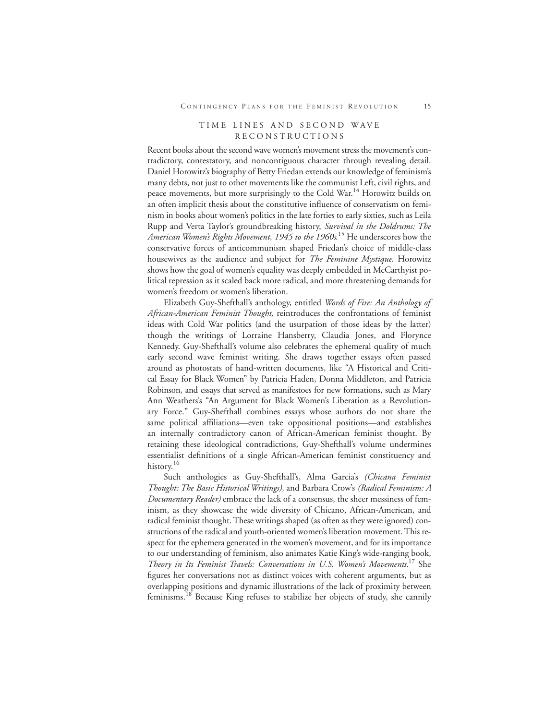### TIME LINES AND SECOND WAVE RECONSTRUCTIONS

Recent books about the second wave women's movement stress the movement's contradictory, contestatory, and noncontiguous character through revealing detail. Daniel Horowitz's biography of Betty Friedan extends our knowledge of feminism's many debts, not just to other movements like the communist Left, civil rights, and peace movements, but more surprisingly to the Cold War.<sup>14</sup> Horowitz builds on an often implicit thesis about the constitutive influence of conservatism on feminism in books about women's politics in the late forties to early sixties, such as Leila Rupp and Verta Taylor's groundbreaking history, *Survival in the Doldrums: The American Women's Rights Movement, 1945 to the 1960s*. <sup>15</sup> He underscores how the conservative forces of anticommunism shaped Friedan's choice of middle-class housewives as the audience and subject for *The Feminine Mystique*. Horowitz shows how the goal of women's equality was deeply embedded in McCarthyist political repression as it scaled back more radical, and more threatening demands for women's freedom or women's liberation.

Elizabeth Guy-Shefthall's anthology, entitled *Words of Fire: An Anthology of African-American Feminist Thought,* reintroduces the confrontations of feminist ideas with Cold War politics (and the usurpation of those ideas by the latter) though the writings of Lorraine Hansberry, Claudia Jones, and Florynce Kennedy. Guy-Shefthall's volume also celebrates the ephemeral quality of much early second wave feminist writing. She draws together essays often passed around as photostats of hand-written documents, like "A Historical and Critical Essay for Black Women" by Patricia Haden, Donna Middleton, and Patricia Robinson, and essays that served as manifestoes for new formations, such as Mary Ann Weathers's "An Argument for Black Women's Liberation as a Revolutionary Force." Guy-Shefthall combines essays whose authors do not share the same political affiliations—even take oppositional positions—and establishes an internally contradictory canon of African-American feminist thought. By retaining these ideological contradictions, Guy-Shefthall's volume undermines essentialist definitions of a single African-American feminist constituency and history.<sup>16</sup>

Such anthologies as Guy-Shefthall's, Alma Garcia's *(Chicana Feminist Thought: The Basic Historical Writings),* and Barbara Crow's *(Radical Feminism: A Documentary Reader)* embrace the lack of a consensus, the sheer messiness of feminism, as they showcase the wide diversity of Chicano, African-American, and radical feminist thought. These writings shaped (as often as they were ignored) constructions of the radical and youth-oriented women's liberation movement. This respect for the ephemera generated in the women's movement, and for its importance to our understanding of feminism, also animates Katie King's wide-ranging book, *Theory in Its Feminist Travels: Conversations in U.S. Women's Movements.*<sup>17</sup> She figures her conversations not as distinct voices with coherent arguments, but as overlapping positions and dynamic illustrations of the lack of proximity between feminisms.<sup>18</sup> Because King refuses to stabilize her objects of study, she cannily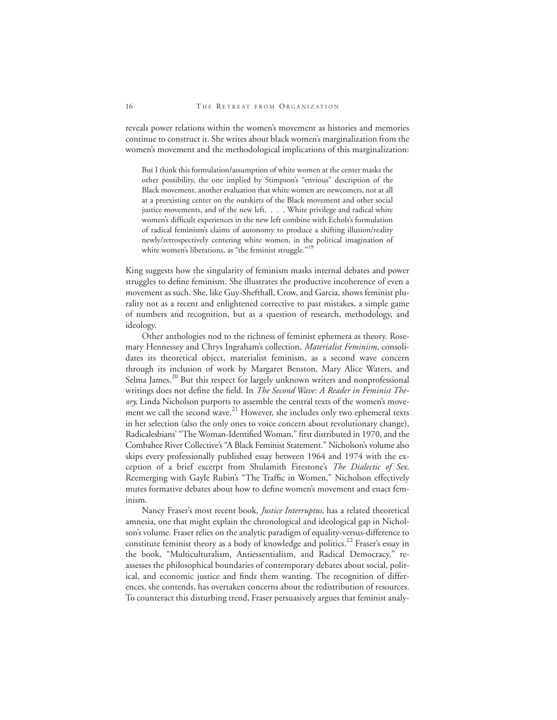reveals power relations within the women's movement as histories and memories continue to construct it. She writes about black women's marginalization from the women's movement and the methodological implications of this marginalization:

But I think this formulation/assumption of white women at the center masks the other possibility, the one implied by Stimpson's "envious" description of the Black movement, another evaluation that white women are newcomers, not at all at a preexisting center on the outskirts of the Black movement and other social justice movements, and of the new left. . . . White privilege and radical white women's difficult experiences in the new left combine with Echols's formulation of radical feminism's claims of autonomy to produce a shifting illusion/reality newly/retrospectively centering white women, in the political imagination of white women's liberations, as "the feminist struggle."<sup>19</sup>

King suggests how the singularity of feminism masks internal debates and power struggles to define feminism. She illustrates the productive incoherence of even a movement as such. She, like Guy-Shefthall, Crow, and Garcia, shows feminist plurality not as a recent and enlightened corrective to past mistakes, a simple game of numbers and recognition, but as a question of research, methodology, and ideology.

Other anthologies nod to the richness of feminist ephemera as theory. Rosemary Hennessey and Chrys Ingraham's collection, *Materialist Feminism,* consolidates its theoretical object, materialist feminism, as a second wave concern through its inclusion of work by Margaret Benston, Mary Alice Waters, and Selma James.<sup>20</sup> But this respect for largely unknown writers and nonprofessional writings does not define the field. In *The Second Wave: A Reader in Feminist Theory,* Linda Nicholson purports to assemble the central texts of the women's movement we call the second wave.<sup>21</sup> However, she includes only two ephemeral texts in her selection (also the only ones to voice concern about revolutionary change), Radicalesbians' "The Woman-Identified Woman," first distributed in 1970, and the Combahee River Collective's "A Black Feminist Statement." Nicholson's volume also skips every professionally published essay between 1964 and 1974 with the exception of a brief excerpt from Shulamith Firestone's *The Dialectic of Sex*. Reemerging with Gayle Rubin's "The Traffic in Women," Nicholson effectively mutes formative debates about how to define women's movement and enact feminism.

Nancy Fraser's most recent book, *Justice Interruptus,* has a related theoretical amnesia, one that might explain the chronological and ideological gap in Nicholson's volume. Fraser relies on the analytic paradigm of equality-versus-difference to constitute feminist theory as a body of knowledge and politics.<sup>22</sup> Fraser's essay in the book, "Multiculturalism, Antiessentialism, and Radical Democracy," reassesses the philosophical boundaries of contemporary debates about social, political, and economic justice and finds them wanting. The recognition of differences, she contends, has overtaken concerns about the redistribution of resources. To counteract this disturbing trend, Fraser persuasively argues that feminist analy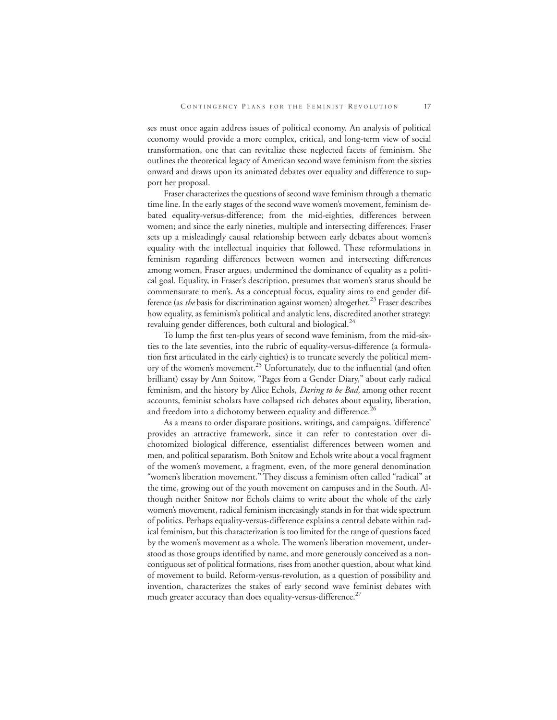ses must once again address issues of political economy. An analysis of political economy would provide a more complex, critical, and long-term view of social transformation, one that can revitalize these neglected facets of feminism. She outlines the theoretical legacy of American second wave feminism from the sixties onward and draws upon its animated debates over equality and difference to support her proposal.

Fraser characterizes the questions of second wave feminism through a thematic time line. In the early stages of the second wave women's movement, feminism debated equality-versus-difference; from the mid-eighties, differences between women; and since the early nineties, multiple and intersecting differences. Fraser sets up a misleadingly causal relationship between early debates about women's equality with the intellectual inquiries that followed. These reformulations in feminism regarding differences between women and intersecting differences among women, Fraser argues, undermined the dominance of equality as a political goal. Equality, in Fraser's description, presumes that women's status should be commensurate to men's. As a conceptual focus, equality aims to end gender difference (as *the* basis for discrimination against women) altogether.<sup>23</sup> Fraser describes how equality, as feminism's political and analytic lens, discredited another strategy: revaluing gender differences, both cultural and biological.<sup>24</sup>

To lump the first ten-plus years of second wave feminism, from the mid-sixties to the late seventies, into the rubric of equality-versus-difference (a formulation first articulated in the early eighties) is to truncate severely the political memory of the women's movement.<sup>25</sup> Unfortunately, due to the influential (and often brilliant) essay by Ann Snitow, "Pages from a Gender Diary," about early radical feminism, and the history by Alice Echols, *Daring to be Bad,* among other recent accounts, feminist scholars have collapsed rich debates about equality, liberation, and freedom into a dichotomy between equality and difference.<sup>26</sup>

As a means to order disparate positions, writings, and campaigns, 'difference' provides an attractive framework, since it can refer to contestation over dichotomized biological difference, essentialist differences between women and men, and political separatism. Both Snitow and Echols write about a vocal fragment of the women's movement, a fragment, even, of the more general denomination "women's liberation movement." They discuss a feminism often called "radical" at the time, growing out of the youth movement on campuses and in the South. Although neither Snitow nor Echols claims to write about the whole of the early women's movement, radical feminism increasingly stands in for that wide spectrum of politics. Perhaps equality-versus-difference explains a central debate within radical feminism, but this characterization is too limited for the range of questions faced by the women's movement as a whole. The women's liberation movement, understood as those groups identified by name, and more generously conceived as a noncontiguous set of political formations, rises from another question, about what kind of movement to build. Reform-versus-revolution, as a question of possibility and invention, characterizes the stakes of early second wave feminist debates with much greater accuracy than does equality-versus-difference. $^{27}$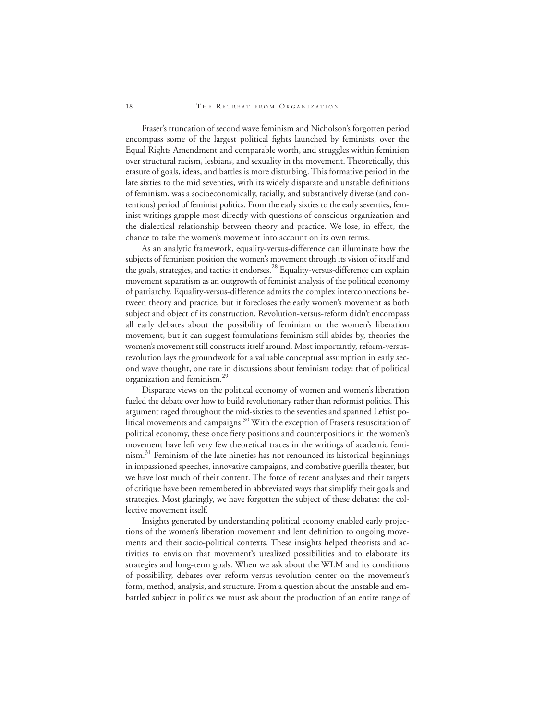Fraser's truncation of second wave feminism and Nicholson's forgotten period encompass some of the largest political fights launched by feminists, over the Equal Rights Amendment and comparable worth, and struggles within feminism over structural racism, lesbians, and sexuality in the movement. Theoretically, this erasure of goals, ideas, and battles is more disturbing. This formative period in the late sixties to the mid seventies, with its widely disparate and unstable definitions of feminism, was a socioeconomically, racially, and substantively diverse (and contentious) period of feminist politics. From the early sixties to the early seventies, feminist writings grapple most directly with questions of conscious organization and the dialectical relationship between theory and practice. We lose, in effect, the chance to take the women's movement into account on its own terms.

As an analytic framework, equality-versus-difference can illuminate how the subjects of feminism position the women's movement through its vision of itself and the goals, strategies, and tactics it endorses.<sup>28</sup> Equality-versus-difference can explain movement separatism as an outgrowth of feminist analysis of the political economy of patriarchy. Equality-versus-difference admits the complex interconnections between theory and practice, but it forecloses the early women's movement as both subject and object of its construction. Revolution-versus-reform didn't encompass all early debates about the possibility of feminism or the women's liberation movement, but it can suggest formulations feminism still abides by, theories the women's movement still constructs itself around. Most importantly, reform-versusrevolution lays the groundwork for a valuable conceptual assumption in early second wave thought, one rare in discussions about feminism today: that of political organization and feminism.<sup>29</sup>

Disparate views on the political economy of women and women's liberation fueled the debate over how to build revolutionary rather than reformist politics. This argument raged throughout the mid-sixties to the seventies and spanned Leftist political movements and campaigns.<sup>30</sup> With the exception of Fraser's resuscitation of political economy, these once fiery positions and counterpositions in the women's movement have left very few theoretical traces in the writings of academic feminism.<sup>31</sup> Feminism of the late nineties has not renounced its historical beginnings in impassioned speeches, innovative campaigns, and combative guerilla theater, but we have lost much of their content. The force of recent analyses and their targets of critique have been remembered in abbreviated ways that simplify their goals and strategies. Most glaringly, we have forgotten the subject of these debates: the collective movement itself.

Insights generated by understanding political economy enabled early projections of the women's liberation movement and lent definition to ongoing movements and their socio-political contexts. These insights helped theorists and activities to envision that movement's urealized possibilities and to elaborate its strategies and long-term goals. When we ask about the WLM and its conditions of possibility, debates over reform-versus-revolution center on the movement's form, method, analysis, and structure. From a question about the unstable and embattled subject in politics we must ask about the production of an entire range of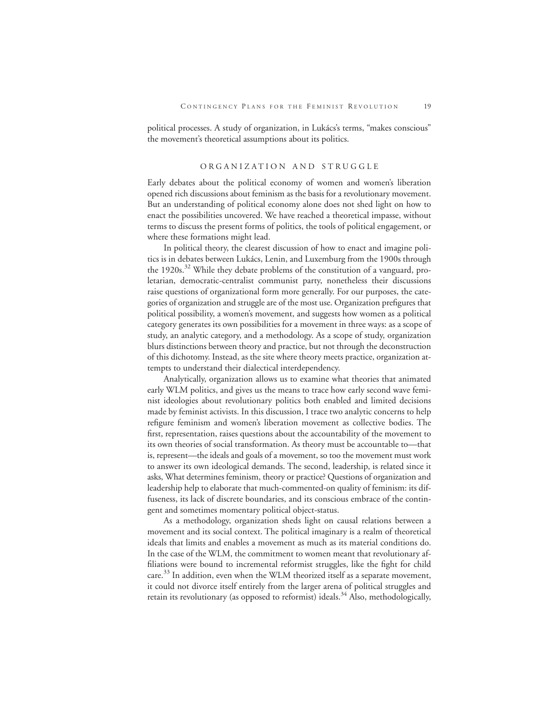political processes. A study of organization, in Lukács's terms, "makes conscious" the movement's theoretical assumptions about its politics.

#### ORGANIZATION AND STRUGGLE

Early debates about the political economy of women and women's liberation opened rich discussions about feminism as the basis for a revolutionary movement. But an understanding of political economy alone does not shed light on how to enact the possibilities uncovered. We have reached a theoretical impasse, without terms to discuss the present forms of politics, the tools of political engagement, or where these formations might lead.

In political theory, the clearest discussion of how to enact and imagine politics is in debates between Lukács, Lenin, and Luxemburg from the 1900s through the 1920s.<sup>32</sup> While they debate problems of the constitution of a vanguard, proletarian, democratic-centralist communist party, nonetheless their discussions raise questions of organizational form more generally. For our purposes, the categories of organization and struggle are of the most use. Organization prefigures that political possibility, a women's movement, and suggests how women as a political category generates its own possibilities for a movement in three ways: as a scope of study, an analytic category, and a methodology. As a scope of study, organization blurs distinctions between theory and practice, but not through the deconstruction of this dichotomy. Instead, as the site where theory meets practice, organization attempts to understand their dialectical interdependency.

Analytically, organization allows us to examine what theories that animated early WLM politics, and gives us the means to trace how early second wave feminist ideologies about revolutionary politics both enabled and limited decisions made by feminist activists. In this discussion, I trace two analytic concerns to help refigure feminism and women's liberation movement as collective bodies. The first, representation, raises questions about the accountability of the movement to its own theories of social transformation. As theory must be accountable to—that is, represent—the ideals and goals of a movement, so too the movement must work to answer its own ideological demands. The second, leadership, is related since it asks, What determines feminism, theory or practice? Questions of organization and leadership help to elaborate that much-commented-on quality of feminism: its diffuseness, its lack of discrete boundaries, and its conscious embrace of the contingent and sometimes momentary political object-status.

As a methodology, organization sheds light on causal relations between a movement and its social context. The political imaginary is a realm of theoretical ideals that limits and enables a movement as much as its material conditions do. In the case of the WLM, the commitment to women meant that revolutionary affiliations were bound to incremental reformist struggles, like the fight for child care.<sup>33</sup> In addition, even when the WLM theorized itself as a separate movement, it could not divorce itself entirely from the larger arena of political struggles and retain its revolutionary (as opposed to reformist) ideals.<sup>34</sup> Also, methodologically,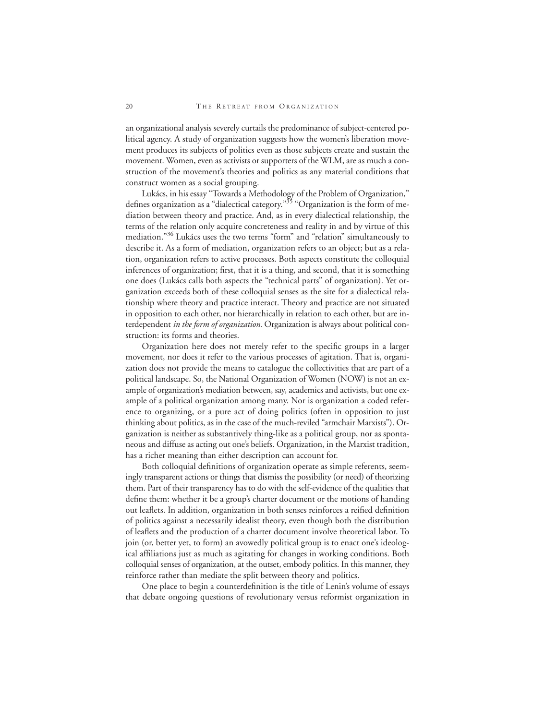an organizational analysis severely curtails the predominance of subject-centered political agency. A study of organization suggests how the women's liberation movement produces its subjects of politics even as those subjects create and sustain the movement. Women, even as activists or supporters of the WLM, are as much a construction of the movement's theories and politics as any material conditions that construct women as a social grouping.

Lukács, in his essay "Towards a Methodology of the Problem of Organization," defines organization as a "dialectical category."35 "Organization is the form of mediation between theory and practice. And, as in every dialectical relationship, the terms of the relation only acquire concreteness and reality in and by virtue of this mediation."36 Lukács uses the two terms "form" and "relation" simultaneously to describe it. As a form of mediation, organization refers to an object; but as a relation, organization refers to active processes. Both aspects constitute the colloquial inferences of organization; first, that it is a thing, and second, that it is something one does (Lukács calls both aspects the "technical parts" of organization). Yet organization exceeds both of these colloquial senses as the site for a dialectical relationship where theory and practice interact. Theory and practice are not situated in opposition to each other, nor hierarchically in relation to each other, but are interdependent *in the form of organization.* Organization is always about political construction: its forms and theories.

Organization here does not merely refer to the specific groups in a larger movement, nor does it refer to the various processes of agitation. That is, organization does not provide the means to catalogue the collectivities that are part of a political landscape. So, the National Organization of Women (NOW) is not an example of organization's mediation between, say, academics and activists, but one example of a political organization among many. Nor is organization a coded reference to organizing, or a pure act of doing politics (often in opposition to just thinking about politics, as in the case of the much-reviled "armchair Marxists"). Organization is neither as substantively thing-like as a political group, nor as spontaneous and diffuse as acting out one's beliefs. Organization, in the Marxist tradition, has a richer meaning than either description can account for.

Both colloquial definitions of organization operate as simple referents, seemingly transparent actions or things that dismiss the possibility (or need) of theorizing them. Part of their transparency has to do with the self-evidence of the qualities that define them: whether it be a group's charter document or the motions of handing out leaflets. In addition, organization in both senses reinforces a reified definition of politics against a necessarily idealist theory, even though both the distribution of leaflets and the production of a charter document involve theoretical labor. To join (or, better yet, to form) an avowedly political group is to enact one's ideological affiliations just as much as agitating for changes in working conditions. Both colloquial senses of organization, at the outset, embody politics. In this manner, they reinforce rather than mediate the split between theory and politics.

One place to begin a counterdefinition is the title of Lenin's volume of essays that debate ongoing questions of revolutionary versus reformist organization in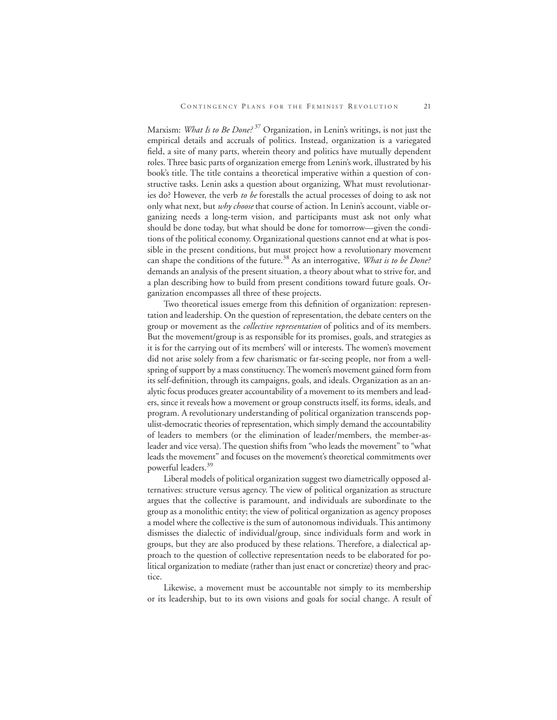Marxism: *What Is to Be Done?* <sup>37</sup> Organization, in Lenin's writings, is not just the empirical details and accruals of politics. Instead, organization is a variegated field, a site of many parts, wherein theory and politics have mutually dependent roles. Three basic parts of organization emerge from Lenin's work, illustrated by his book's title. The title contains a theoretical imperative within a question of constructive tasks. Lenin asks a question about organizing, What must revolutionaries do? However, the verb *to be* forestalls the actual processes of doing to ask not only what next, but *why choose* that course of action. In Lenin's account, viable organizing needs a long-term vision, and participants must ask not only what should be done today, but what should be done for tomorrow—given the conditions of the political economy. Organizational questions cannot end at what is possible in the present conditions, but must project how a revolutionary movement can shape the conditions of the future.38 As an interrogative, *What is to be Done?* demands an analysis of the present situation, a theory about what to strive for, and a plan describing how to build from present conditions toward future goals. Organization encompasses all three of these projects.

Two theoretical issues emerge from this definition of organization: representation and leadership. On the question of representation, the debate centers on the group or movement as the *collective representation* of politics and of its members. But the movement/group is as responsible for its promises, goals, and strategies as it is for the carrying out of its members' will or interests. The women's movement did not arise solely from a few charismatic or far-seeing people, nor from a wellspring of support by a mass constituency. The women's movement gained form from its self-definition, through its campaigns, goals, and ideals. Organization as an analytic focus produces greater accountability of a movement to its members and leaders, since it reveals how a movement or group constructs itself, its forms, ideals, and program. A revolutionary understanding of political organization transcends populist-democratic theories of representation, which simply demand the accountability of leaders to members (or the elimination of leader/members, the member-asleader and vice versa). The question shifts from "who leads the movement" to "what leads the movement" and focuses on the movement's theoretical commitments over powerful leaders.39

Liberal models of political organization suggest two diametrically opposed alternatives: structure versus agency. The view of political organization as structure argues that the collective is paramount, and individuals are subordinate to the group as a monolithic entity; the view of political organization as agency proposes a model where the collective is the sum of autonomous individuals. This antimony dismisses the dialectic of individual/group, since individuals form and work in groups, but they are also produced by these relations. Therefore, a dialectical approach to the question of collective representation needs to be elaborated for political organization to mediate (rather than just enact or concretize) theory and practice.

Likewise, a movement must be accountable not simply to its membership or its leadership, but to its own visions and goals for social change. A result of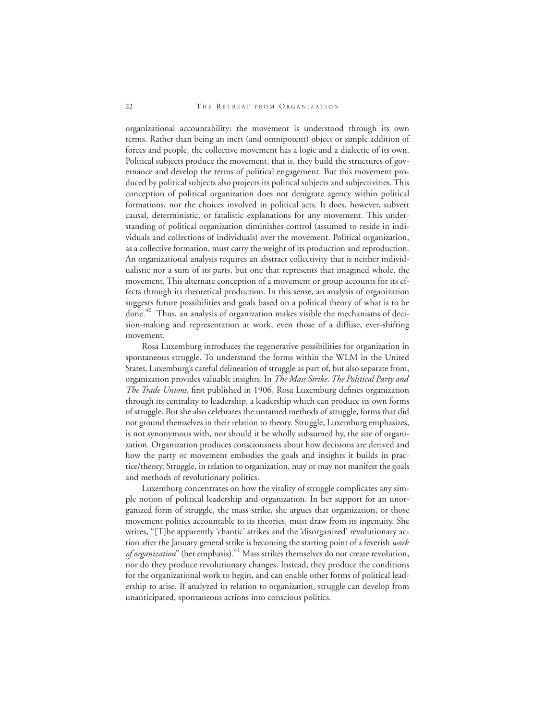organizational accountability: the movement is understood through its own terms. Rather than being an inert (and omnipotent) object or simple addition of forces and people, the collective movement has a logic and a dialectic of its own. Political subjects produce the movement, that is, they build the structures of governance and develop the terms of political engagement. But this movement produced by political subjects also projects its political subjects and subjectivities. This conception of political organization does not denigrate agency within political formations, nor the choices involved in political acts. It does, however, subvert causal, deterministic, or fatalistic explanations for any movement. This understanding of political organization diminishes control (assumed to reside in individuals and collections of individuals) over the movement. Political organization, as a collective formation, must carry the weight of its production and reproduction. An organizational analysis requires an abstract collectivity that is neither individualistic nor a sum of its parts, but one that represents that imagined whole, the movement. This alternate conception of a movement or group accounts for its effects through its theoretical production. In this sense, an analysis of organization suggests future possibilities and goals based on a political theory of what is to be done*.* <sup>40</sup> Thus, an analysis of organization makes visible the mechanisms of decision-making and representation at work, even those of a diffuse, ever-shifting movement.

Rosa Luxemburg introduces the regenerative possibilities for organization in spontaneous struggle. To understand the forms within the WLM in the United States, Luxemburg's careful delineation of struggle as part of, but also separate from, organization provides valuable insights. In *The Mass Strike, The Political Party and The Trade Unions*, first published in 1906, Rosa Luxemburg defines organization through its centrality to leadership, a leadership which can produce its own forms of struggle. But she also celebrates the untamed methods of struggle, forms that did not ground themselves in their relation to theory. Struggle, Luxemburg emphasizes, is not synonymous with, nor should it be wholly subsumed by, the site of organization. Organization produces consciousness about how decisions are derived and how the party or movement embodies the goals and insights it builds in practice/theory. Struggle, in relation to organization, may or may not manifest the goals and methods of revolutionary politics.

Luxemburg concentrates on how the vitality of struggle complicates any simple notion of political leadership and organization. In her support for an unorganized form of struggle, the mass strike, she argues that organization, or those movement politics accountable to its theories, must draw from its ingenuity. She writes, "[T]he apparently 'chaotic' strikes and the 'disorganized' revolutionary action after the January general strike is becoming the starting point of a feverish *work of organization*" (her emphasis).41 Mass strikes themselves do not create revolution, nor do they produce revolutionary changes. Instead, they produce the conditions for the organizational work to begin, and can enable other forms of political leadership to arise. If analyzed in relation to organization, struggle can develop from unanticipated, spontaneous actions into conscious politics.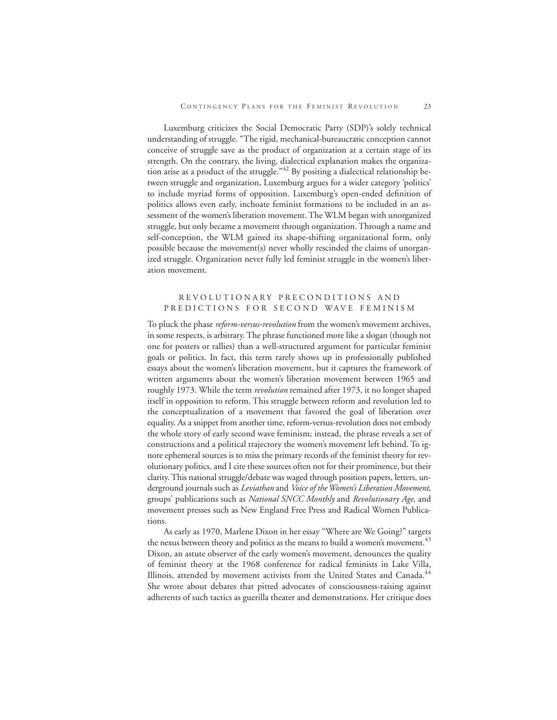Luxemburg criticizes the Social Democratic Party (SDP)'s solely technical understanding of struggle. "The rigid, mechanical-bureaucratic conception cannot conceive of struggle save as the product of organization at a certain stage of its strength. On the contrary, the living, dialectical explanation makes the organization arise as a product of the struggle."42 By positing a dialectical relationship between struggle and organization, Luxemburg argues for a wider category 'politics' to include myriad forms of opposition. Luxemburg's open-ended definition of politics allows even early, inchoate feminist formations to be included in an assessment of the women's liberation movement. The WLM began with unorganized struggle, but only became a movement through organization. Through a name and self-conception, the WLM gained its shape-shifting organizational form, only possible because the movement(s) never wholly rescinded the claims of unorganized struggle. Organization never fully led feminist struggle in the women's liberation movement.

## REVOLUTIONARY PRECONDITIONS AND PREDICTIONS FOR SECOND WAVE FEMINISM

To pluck the phase *reform-versus-revolution* from the women's movement archives, in some respects, is arbitrary. The phrase functioned more like a slogan (though not one for posters or rallies) than a well-structured argument for particular feminist goals or politics. In fact, this term rarely shows up in professionally published essays about the women's liberation movement, but it captures the framework of written arguments about the women's liberation movement between 1965 and roughly 1973. While the term *revolution* remained after 1973, it no longer shaped itself in opposition to reform. This struggle between reform and revolution led to the conceptualization of a movement that favored the goal of liberation over equality. As a snippet from another time, reform-versus-revolution does not embody the whole story of early second wave feminism; instead, the phrase reveals a set of constructions and a political trajectory the women's movement left behind. To ignore ephemeral sources is to miss the primary records of the feminist theory for revolutionary politics, and I cite these sources often not for their prominence, but their clarity. This national struggle/debate was waged through position papers, letters, underground journals such as *Leviathan* and *Voice of the Women's Liberation Movement,* groups' publications such as *National SNCC Monthly* and *Revolutionary Age,* and movement presses such as New England Free Press and Radical Women Publications.

As early as 1970, Marlene Dixon in her essay "Where are We Going?" targets the nexus between theory and politics as the means to build a women's movement.<sup>43</sup> Dixon, an astute observer of the early women's movement, denounces the quality of feminist theory at the 1968 conference for radical feminists in Lake Villa, Illinois, attended by movement activists from the United States and Canada.<sup>44</sup> She wrote about debates that pitted advocates of consciousness-raising against adherents of such tactics as guerilla theater and demonstrations. Her critique does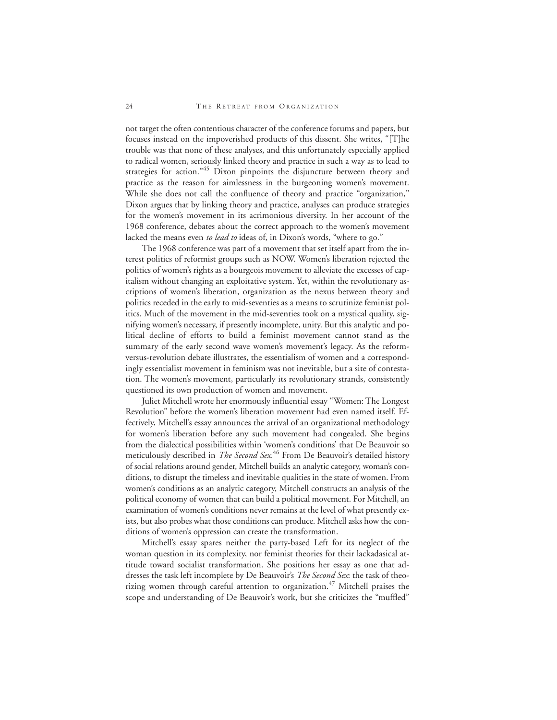not target the often contentious character of the conference forums and papers, but focuses instead on the impoverished products of this dissent. She writes, "[T]he trouble was that none of these analyses, and this unfortunately especially applied to radical women, seriously linked theory and practice in such a way as to lead to strategies for action."<sup>45</sup> Dixon pinpoints the disjuncture between theory and practice as the reason for aimlessness in the burgeoning women's movement. While she does not call the confluence of theory and practice "organization," Dixon argues that by linking theory and practice, analyses can produce strategies for the women's movement in its acrimonious diversity. In her account of the 1968 conference, debates about the correct approach to the women's movement lacked the means even *to lead to* ideas of, in Dixon's words, "where to go."

The 1968 conference was part of a movement that set itself apart from the interest politics of reformist groups such as NOW. Women's liberation rejected the politics of women's rights as a bourgeois movement to alleviate the excesses of capitalism without changing an exploitative system. Yet, within the revolutionary ascriptions of women's liberation, organization as the nexus between theory and politics receded in the early to mid-seventies as a means to scrutinize feminist politics. Much of the movement in the mid-seventies took on a mystical quality, signifying women's necessary, if presently incomplete, unity. But this analytic and political decline of efforts to build a feminist movement cannot stand as the summary of the early second wave women's movement's legacy. As the reformversus-revolution debate illustrates, the essentialism of women and a correspondingly essentialist movement in feminism was not inevitable, but a site of contestation. The women's movement, particularly its revolutionary strands, consistently questioned its own production of women and movement.

Juliet Mitchell wrote her enormously influential essay "Women: The Longest Revolution" before the women's liberation movement had even named itself. Effectively, Mitchell's essay announces the arrival of an organizational methodology for women's liberation before any such movement had congealed. She begins from the dialectical possibilities within 'women's conditions' that De Beauvoir so meticulously described in *The Second Sex.*<sup>46</sup> From De Beauvoir's detailed history of social relations around gender, Mitchell builds an analytic category, woman's conditions, to disrupt the timeless and inevitable qualities in the state of women. From women's conditions as an analytic category, Mitchell constructs an analysis of the political economy of women that can build a political movement. For Mitchell, an examination of women's conditions never remains at the level of what presently exists, but also probes what those conditions can produce. Mitchell asks how the conditions of women's oppression can create the transformation.

Mitchell's essay spares neither the party-based Left for its neglect of the woman question in its complexity, nor feminist theories for their lackadasical attitude toward socialist transformation. She positions her essay as one that addresses the task left incomplete by De Beauvoir's *The Second Sex*: the task of theorizing women through careful attention to organization.<sup>47</sup> Mitchell praises the scope and understanding of De Beauvoir's work, but she criticizes the "muffled"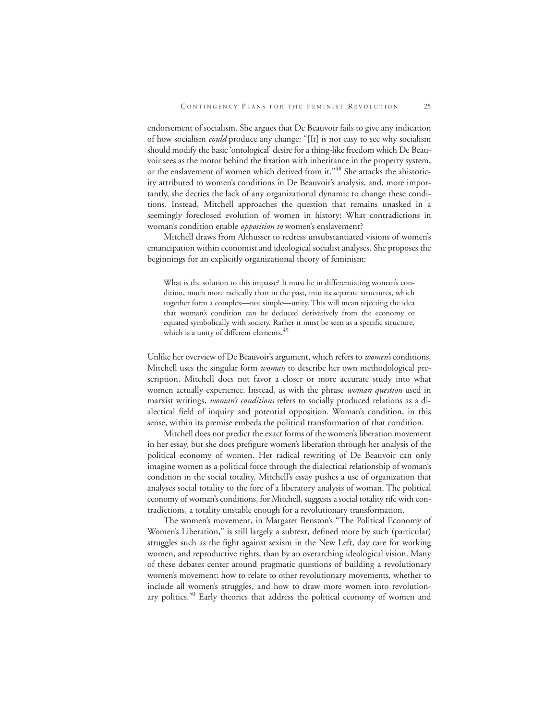endorsement of socialism. She argues that De Beauvoir fails to give any indication of how socialism *could* produce any change: "[It] is not easy to see why socialism should modify the basic 'ontological' desire for a thing-like freedom which De Beauvoir sees as the motor behind the fixation with inheritance in the property system, or the enslavement of women which derived from it."48 She attacks the ahistoricity attributed to women's conditions in De Beauvoir's analysis, and, more importantly, she decries the lack of any organizational dynamic to change these conditions. Instead, Mitchell approaches the question that remains unasked in a seemingly foreclosed evolution of women in history: What contradictions in woman's condition enable *opposition to* women's enslavement?

Mitchell draws from Althusser to redress unsubstantiated visions of women's emancipation within economist and ideological socialist analyses. She proposes the beginnings for an explicitly organizational theory of feminism:

What is the solution to this impasse? It must lie in differentiating woman's condition, much more radically than in the past, into its separate structures, which together form a complex—not simple—unity. This will mean rejecting the idea that woman's condition can be deduced derivatively from the economy or equated symbolically with society. Rather it must be seen as a specific structure, which is a unity of different elements.<sup>49</sup>

Unlike her overview of De Beauvoir's argument, which refers to *women's* conditions, Mitchell uses the singular form *woman* to describe her own methodological prescription. Mitchell does not favor a closer or more accurate study into what women actually experience. Instead, as with the phrase *woman question* used in marxist writings, *woman's conditions* refers to socially produced relations as a dialectical field of inquiry and potential opposition. Woman's condition, in this sense, within its premise embeds the political transformation of that condition.

Mitchell does not predict the exact forms of the women's liberation movement in her essay, but she does prefigure women's liberation through her analysis of the political economy of women. Her radical rewriting of De Beauvoir can only imagine women as a political force through the dialectical relationship of woman's condition in the social totality. Mitchell's essay pushes a use of organization that analyses social totality to the fore of a liberatory analysis of woman. The political economy of woman's conditions, for Mitchell, suggests a social totality rife with contradictions, a totality unstable enough for a revolutionary transformation.

The women's movement, in Margaret Benston's "The Political Economy of Women's Liberation," is still largely a subtext, defined more by such (particular) struggles such as the fight against sexism in the New Left, day care for working women, and reproductive rights, than by an overarching ideological vision. Many of these debates center around pragmatic questions of building a revolutionary women's movement: how to relate to other revolutionary movements, whether to include all women's struggles, and how to draw more women into revolutionary politics.<sup>50</sup> Early theories that address the political economy of women and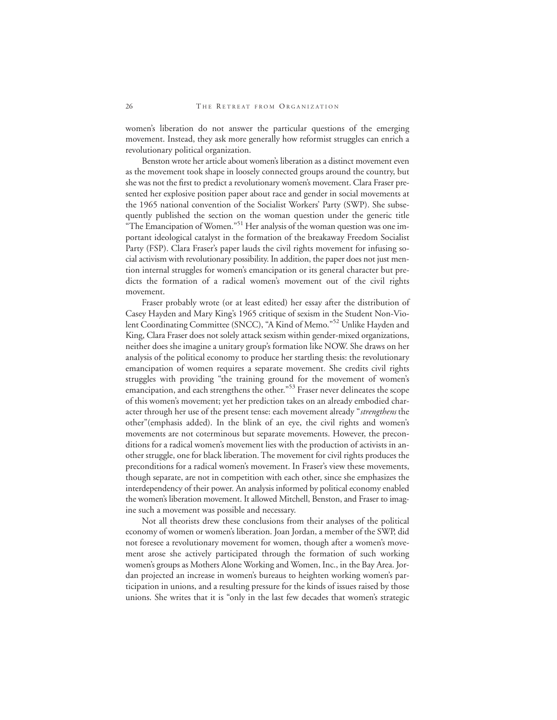women's liberation do not answer the particular questions of the emerging movement. Instead, they ask more generally how reformist struggles can enrich a revolutionary political organization.

Benston wrote her article about women's liberation as a distinct movement even as the movement took shape in loosely connected groups around the country, but she was not the first to predict a revolutionary women's movement. Clara Fraser presented her explosive position paper about race and gender in social movements at the 1965 national convention of the Socialist Workers' Party (SWP). She subsequently published the section on the woman question under the generic title "The Emancipation of Women."<sup>51</sup> Her analysis of the woman question was one important ideological catalyst in the formation of the breakaway Freedom Socialist Party (FSP). Clara Fraser's paper lauds the civil rights movement for infusing social activism with revolutionary possibility. In addition, the paper does not just mention internal struggles for women's emancipation or its general character but predicts the formation of a radical women's movement out of the civil rights movement.

Fraser probably wrote (or at least edited) her essay after the distribution of Casey Hayden and Mary King's 1965 critique of sexism in the Student Non-Violent Coordinating Committee (SNCC), "A Kind of Memo."52 Unlike Hayden and King, Clara Fraser does not solely attack sexism within gender-mixed organizations, neither does she imagine a unitary group's formation like NOW. She draws on her analysis of the political economy to produce her startling thesis: the revolutionary emancipation of women requires a separate movement*.* She credits civil rights struggles with providing "the training ground for the movement of women's emancipation, and each strengthens the other."53 Fraser never delineates the scope of this women's movement; yet her prediction takes on an already embodied character through her use of the present tense: each movement already "*strengthens* the other"(emphasis added). In the blink of an eye, the civil rights and women's movements are not coterminous but separate movements. However, the preconditions for a radical women's movement lies with the production of activists in another struggle, one for black liberation. The movement for civil rights produces the preconditions for a radical women's movement. In Fraser's view these movements, though separate, are not in competition with each other, since she emphasizes the interdependency of their power. An analysis informed by political economy enabled the women's liberation movement. It allowed Mitchell, Benston, and Fraser to imagine such a movement was possible and necessary.

Not all theorists drew these conclusions from their analyses of the political economy of women or women's liberation. Joan Jordan, a member of the SWP, did not foresee a revolutionary movement for women, though after a women's movement arose she actively participated through the formation of such working women's groups as Mothers Alone Working and Women, Inc., in the Bay Area. Jordan projected an increase in women's bureaus to heighten working women's participation in unions, and a resulting pressure for the kinds of issues raised by those unions. She writes that it is "only in the last few decades that women's strategic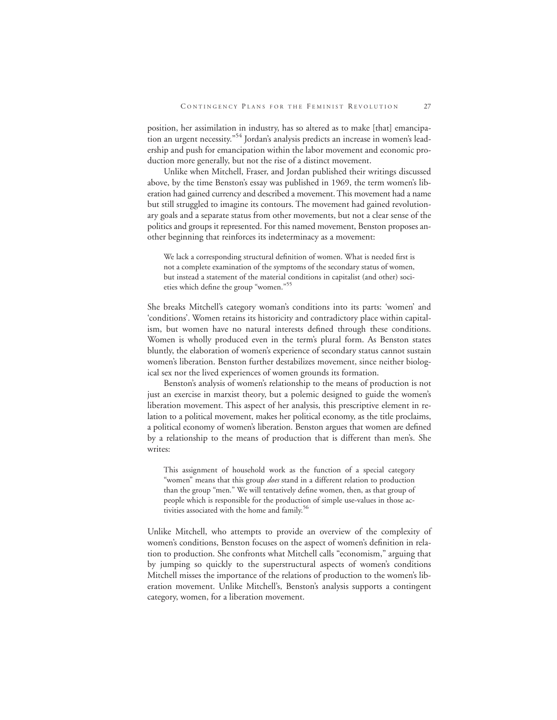position, her assimilation in industry, has so altered as to make [that] emancipation an urgent necessity."54 Jordan's analysis predicts an increase in women's leadership and push for emancipation within the labor movement and economic production more generally, but not the rise of a distinct movement.

Unlike when Mitchell, Fraser, and Jordan published their writings discussed above, by the time Benston's essay was published in 1969, the term women's liberation had gained currency and described a movement. This movement had a name but still struggled to imagine its contours. The movement had gained revolutionary goals and a separate status from other movements, but not a clear sense of the politics and groups it represented. For this named movement, Benston proposes another beginning that reinforces its indeterminacy as a movement:

We lack a corresponding structural definition of women. What is needed first is not a complete examination of the symptoms of the secondary status of women, but instead a statement of the material conditions in capitalist (and other) societies which define the group "women."55

She breaks Mitchell's category woman's conditions into its parts: 'women' and 'conditions'. Women retains its historicity and contradictory place within capitalism, but women have no natural interests defined through these conditions. Women is wholly produced even in the term's plural form. As Benston states bluntly, the elaboration of women's experience of secondary status cannot sustain women's liberation. Benston further destabilizes movement, since neither biological sex nor the lived experiences of women grounds its formation.

Benston's analysis of women's relationship to the means of production is not just an exercise in marxist theory, but a polemic designed to guide the women's liberation movement. This aspect of her analysis, this prescriptive element in relation to a political movement, makes her political economy, as the title proclaims, a political economy of women's liberation. Benston argues that women are defined by a relationship to the means of production that is different than men's. She writes:

This assignment of household work as the function of a special category "women" means that this group *does* stand in a different relation to production than the group "men." We will tentatively define women, then, as that group of people which is responsible for the production of simple use-values in those activities associated with the home and family.<sup>56</sup>

Unlike Mitchell, who attempts to provide an overview of the complexity of women's conditions, Benston focuses on the aspect of women's definition in relation to production. She confronts what Mitchell calls "economism," arguing that by jumping so quickly to the superstructural aspects of women's conditions Mitchell misses the importance of the relations of production to the women's liberation movement. Unlike Mitchell's, Benston's analysis supports a contingent category, women, for a liberation movement.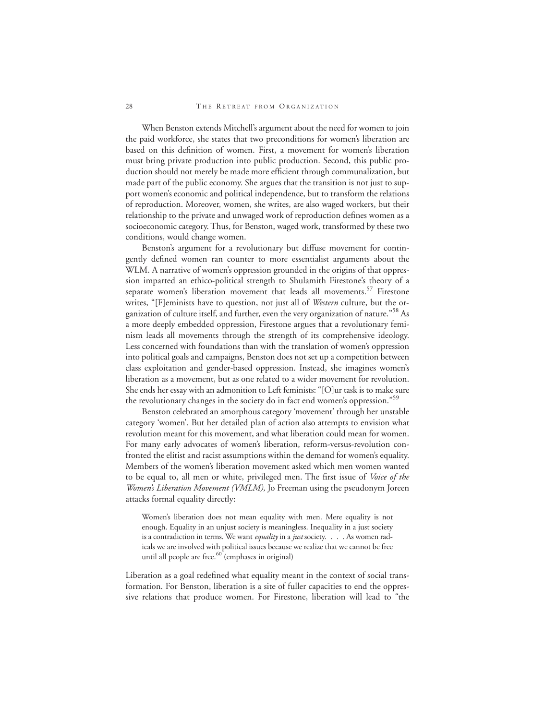When Benston extends Mitchell's argument about the need for women to join the paid workforce, she states that two preconditions for women's liberation are based on this definition of women. First, a movement for women's liberation must bring private production into public production. Second, this public production should not merely be made more efficient through communalization, but made part of the public economy. She argues that the transition is not just to support women's economic and political independence, but to transform the relations of reproduction. Moreover, women, she writes, are also waged workers, but their relationship to the private and unwaged work of reproduction defines women as a socioeconomic category. Thus, for Benston, waged work, transformed by these two conditions, would change women.

Benston's argument for a revolutionary but diffuse movement for contingently defined women ran counter to more essentialist arguments about the WLM. A narrative of women's oppression grounded in the origins of that oppression imparted an ethico-political strength to Shulamith Firestone's theory of a separate women's liberation movement that leads all movements.<sup>57</sup> Firestone writes, "[F]eminists have to question, not just all of *Western* culture, but the organization of culture itself, and further, even the very organization of nature."<sup>58</sup> As a more deeply embedded oppression, Firestone argues that a revolutionary feminism leads all movements through the strength of its comprehensive ideology. Less concerned with foundations than with the translation of women's oppression into political goals and campaigns, Benston does not set up a competition between class exploitation and gender-based oppression. Instead, she imagines women's liberation as a movement, but as one related to a wider movement for revolution. She ends her essay with an admonition to Left feminists: "[O]ur task is to make sure the revolutionary changes in the society do in fact end women's oppression."<sup>59</sup>

Benston celebrated an amorphous category 'movement' through her unstable category 'women'. But her detailed plan of action also attempts to envision what revolution meant for this movement, and what liberation could mean for women. For many early advocates of women's liberation, reform-versus-revolution confronted the elitist and racist assumptions within the demand for women's equality. Members of the women's liberation movement asked which men women wanted to be equal to, all men or white, privileged men. The first issue of *Voice of the Women's Liberation Movement (VMLM),* Jo Freeman using the pseudonym Joreen attacks formal equality directly:

Women's liberation does not mean equality with men. Mere equality is not enough. Equality in an unjust society is meaningless. Inequality in a just society is a contradiction in terms. We want *equality* in a *just* society. . . . As women radicals we are involved with political issues because we realize that we cannot be free until all people are free.<sup>60</sup> (emphases in original)

Liberation as a goal redefined what equality meant in the context of social transformation. For Benston, liberation is a site of fuller capacities to end the oppressive relations that produce women. For Firestone, liberation will lead to "the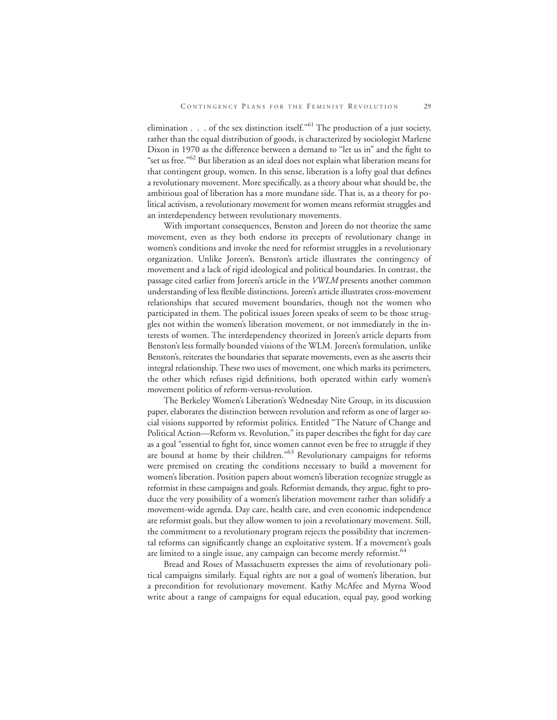elimination  $\ldots$  of the sex distinction itself.<sup>"61</sup> The production of a just society, rather than the equal distribution of goods, is characterized by sociologist Marlene Dixon in 1970 as the difference between a demand to "let us in" and the fight to "set us free."62 But liberation as an ideal does not explain what liberation means for that contingent group, women. In this sense, liberation is a lofty goal that defines a revolutionary movement. More specifically, as a theory about what should be, the ambitious goal of liberation has a more mundane side. That is, as a theory for political activism, a revolutionary movement for women means reformist struggles and an interdependency between revolutionary movements.

With important consequences, Benston and Joreen do not theorize the same movement, even as they both endorse its precepts of revolutionary change in women's conditions and invoke the need for reformist struggles in a revolutionary organization. Unlike Joreen's, Benston's article illustrates the contingency of movement and a lack of rigid ideological and political boundaries. In contrast, the passage cited earlier from Joreen's article in the *VWLM* presents another common understanding of less flexible distinctions. Joreen's article illustrates cross-movement relationships that secured movement boundaries, though not the women who participated in them. The political issues Joreen speaks of seem to be those struggles not within the women's liberation movement, or not immediately in the interests of women. The interdependency theorized in Joreen's article departs from Benston's less formally bounded visions of the WLM. Joreen's formulation, unlike Benston's, reiterates the boundaries that separate movements, even as she asserts their integral relationship. These two uses of movement, one which marks its perimeters, the other which refuses rigid definitions, both operated within early women's movement politics of reform-versus-revolution.

The Berkeley Women's Liberation's Wednesday Nite Group, in its discussion paper, elaborates the distinction between revolution and reform as one of larger social visions supported by reformist politics. Entitled "The Nature of Change and Political Action—Reform vs. Revolution," its paper describes the fight for day care as a goal "essential to fight for, since women cannot even be free to struggle if they are bound at home by their children."63 Revolutionary campaigns for reforms were premised on creating the conditions necessary to build a movement for women's liberation. Position papers about women's liberation recognize struggle as reformist in these campaigns and goals. Reformist demands, they argue, fight to produce the very possibility of a women's liberation movement rather than solidify a movement-wide agenda. Day care, health care, and even economic independence are reformist goals, but they allow women to join a revolutionary movement. Still, the commitment to a revolutionary program rejects the possibility that incremental reforms can significantly change an exploitative system. If a movement's goals are limited to a single issue, any campaign can become merely reformist.<sup>64</sup>

Bread and Roses of Massachusetts expresses the aims of revolutionary political campaigns similarly. Equal rights are not a goal of women's liberation, but a precondition for revolutionary movement. Kathy McAfee and Myrna Wood write about a range of campaigns for equal education, equal pay, good working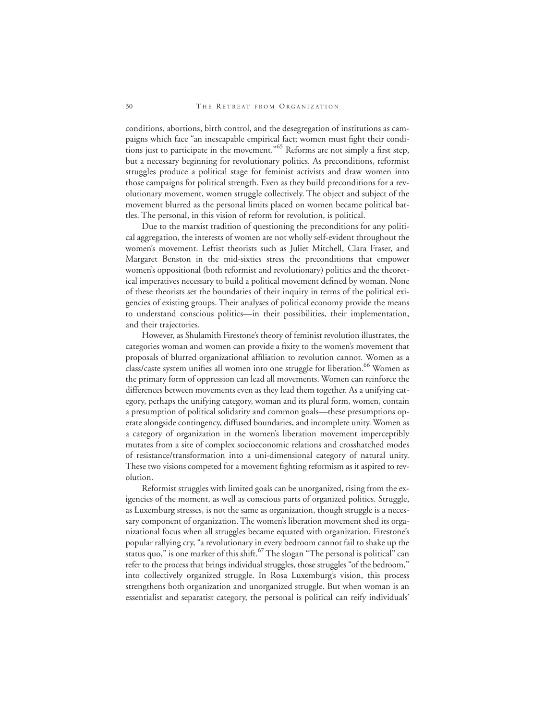conditions, abortions, birth control, and the desegregation of institutions as campaigns which face "an inescapable empirical fact; women must fight their conditions just to participate in the movement."65 Reforms are not simply a first step, but a necessary beginning for revolutionary politics. As preconditions, reformist struggles produce a political stage for feminist activists and draw women into those campaigns for political strength. Even as they build preconditions for a revolutionary movement, women struggle collectively. The object and subject of the movement blurred as the personal limits placed on women became political battles. The personal, in this vision of reform for revolution, is political.

Due to the marxist tradition of questioning the preconditions for any political aggregation, the interests of women are not wholly self-evident throughout the women's movement. Leftist theorists such as Juliet Mitchell, Clara Fraser, and Margaret Benston in the mid-sixties stress the preconditions that empower women's oppositional (both reformist and revolutionary) politics and the theoretical imperatives necessary to build a political movement defined by woman. None of these theorists set the boundaries of their inquiry in terms of the political exigencies of existing groups. Their analyses of political economy provide the means to understand conscious politics—in their possibilities, their implementation, and their trajectories.

However, as Shulamith Firestone's theory of feminist revolution illustrates, the categories woman and women can provide a fixity to the women's movement that proposals of blurred organizational affiliation to revolution cannot. Women as a class/caste system unifies all women into one struggle for liberation.<sup>66</sup> Women as the primary form of oppression can lead all movements. Women can reinforce the differences between movements even as they lead them together. As a unifying category, perhaps the unifying category, woman and its plural form, women, contain a presumption of political solidarity and common goals—these presumptions operate alongside contingency, diffused boundaries, and incomplete unity. Women as a category of organization in the women's liberation movement imperceptibly mutates from a site of complex socioeconomic relations and crosshatched modes of resistance/transformation into a uni-dimensional category of natural unity. These two visions competed for a movement fighting reformism as it aspired to revolution.

Reformist struggles with limited goals can be unorganized, rising from the exigencies of the moment, as well as conscious parts of organized politics. Struggle, as Luxemburg stresses, is not the same as organization, though struggle is a necessary component of organization. The women's liberation movement shed its organizational focus when all struggles became equated with organization. Firestone's popular rallying cry, "a revolutionary in every bedroom cannot fail to shake up the status quo," is one marker of this shift.<sup>67</sup> The slogan "The personal is political" can refer to the process that brings individual struggles, those struggles "of the bedroom," into collectively organized struggle. In Rosa Luxemburg's vision, this process strengthens both organization and unorganized struggle. But when woman is an essentialist and separatist category, the personal is political can reify individuals'